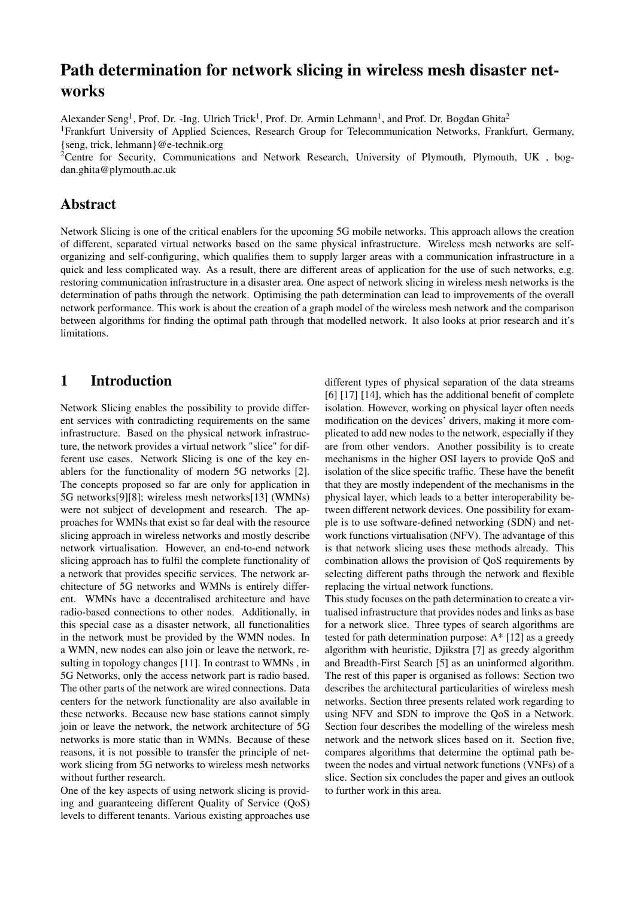# Path determination for network slicing in wireless mesh disaster networks

Alexander Seng<sup>1</sup>, Prof. Dr. -Ing. Ulrich Trick<sup>1</sup>, Prof. Dr. Armin Lehmann<sup>1</sup>, and Prof. Dr. Bogdan Ghita<sup>2</sup>

<sup>1</sup>Frankfurt University of Applied Sciences, Research Group for Telecommunication Networks, Frankfurt, Germany, {seng, trick, lehmann}@e-technik.org

<sup>2</sup>Centre for Security, Communications and Network Research, University of Plymouth, Plymouth, UK, bogdan.ghita@plymouth.ac.uk

### Abstract

Network Slicing is one of the critical enablers for the upcoming 5G mobile networks. This approach allows the creation of different, separated virtual networks based on the same physical infrastructure. Wireless mesh networks are selforganizing and self-configuring, which qualifies them to supply larger areas with a communication infrastructure in a quick and less complicated way. As a result, there are different areas of application for the use of such networks, e.g. restoring communication infrastructure in a disaster area. One aspect of network slicing in wireless mesh networks is the determination of paths through the network. Optimising the path determination can lead to improvements of the overall network performance. This work is about the creation of a graph model of the wireless mesh network and the comparison between algorithms for finding the optimal path through that modelled network. It also looks at prior research and it's limitations.

### 1 Introduction

Network Slicing enables the possibility to provide different services with contradicting requirements on the same infrastructure. Based on the physical network infrastructure, the network provides a virtual network "slice" for different use cases. Network Slicing is one of the key enablers for the functionality of modern 5G networks [2]. The concepts proposed so far are only for application in 5G networks[9][8]; wireless mesh networks[13] (WMNs) were not subject of development and research. The approaches for WMNs that exist so far deal with the resource slicing approach in wireless networks and mostly describe network virtualisation. However, an end-to-end network slicing approach has to fulfil the complete functionality of a network that provides specific services. The network architecture of 5G networks and WMNs is entirely different. WMNs have a decentralised architecture and have radio-based connections to other nodes. Additionally, in this special case as a disaster network, all functionalities in the network must be provided by the WMN nodes. In a WMN, new nodes can also join or leave the network, resulting in topology changes [11]. In contrast to WMNs , in 5G Networks, only the access network part is radio based. The other parts of the network are wired connections. Data centers for the network functionality are also available in these networks. Because new base stations cannot simply join or leave the network, the network architecture of 5G networks is more static than in WMNs. Because of these reasons, it is not possible to transfer the principle of network slicing from 5G networks to wireless mesh networks without further research.

One of the key aspects of using network slicing is providing and guaranteeing different Quality of Service (QoS) levels to different tenants. Various existing approaches use different types of physical separation of the data streams [6] [17] [14], which has the additional benefit of complete isolation. However, working on physical layer often needs modification on the devices' drivers, making it more complicated to add new nodes to the network, especially if they are from other vendors. Another possibility is to create mechanisms in the higher OSI layers to provide QoS and isolation of the slice specific traffic. These have the benefit that they are mostly independent of the mechanisms in the physical layer, which leads to a better interoperability between different network devices. One possibility for example is to use software-defined networking (SDN) and network functions virtualisation (NFV). The advantage of this is that network slicing uses these methods already. This combination allows the provision of QoS requirements by selecting different paths through the network and flexible replacing the virtual network functions.

This study focuses on the path determination to create a virtualised infrastructure that provides nodes and links as base for a network slice. Three types of search algorithms are tested for path determination purpose: A\* [12] as a greedy algorithm with heuristic, Djikstra [7] as greedy algorithm and Breadth-First Search [5] as an uninformed algorithm. The rest of this paper is organised as follows: Section two describes the architectural particularities of wireless mesh networks. Section three presents related work regarding to using NFV and SDN to improve the QoS in a Network. Section four describes the modelling of the wireless mesh network and the network slices based on it. Section five, compares algorithms that determine the optimal path between the nodes and virtual network functions (VNFs) of a slice. Section six concludes the paper and gives an outlook to further work in this area.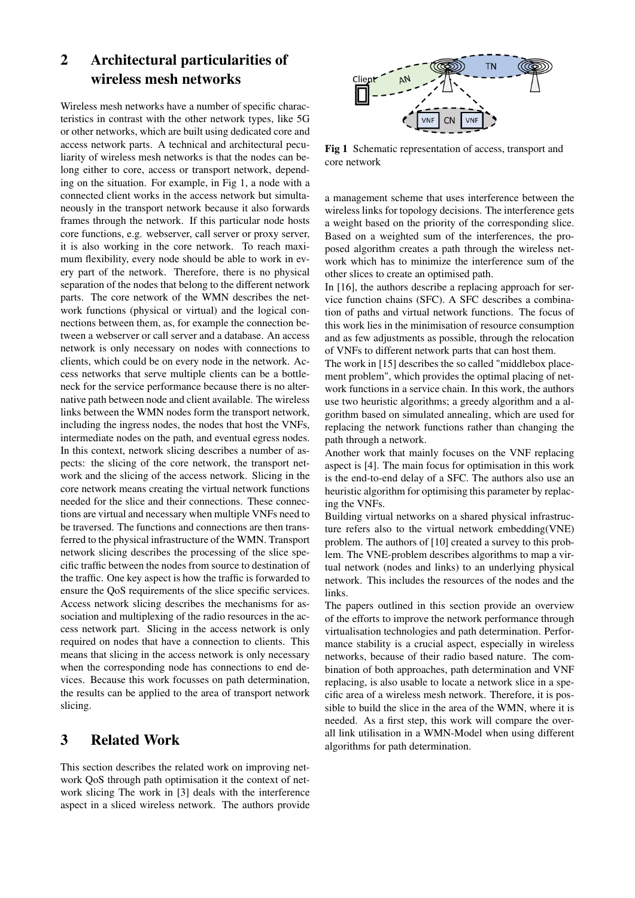# 2 Architectural particularities of wireless mesh networks

Wireless mesh networks have a number of specific characteristics in contrast with the other network types, like 5G or other networks, which are built using dedicated core and access network parts. A technical and architectural peculiarity of wireless mesh networks is that the nodes can belong either to core, access or transport network, depending on the situation. For example, in Fig 1, a node with a connected client works in the access network but simultaneously in the transport network because it also forwards frames through the network. If this particular node hosts core functions, e.g. webserver, call server or proxy server, it is also working in the core network. To reach maximum flexibility, every node should be able to work in every part of the network. Therefore, there is no physical separation of the nodes that belong to the different network parts. The core network of the WMN describes the network functions (physical or virtual) and the logical connections between them, as, for example the connection between a webserver or call server and a database. An access network is only necessary on nodes with connections to clients, which could be on every node in the network. Access networks that serve multiple clients can be a bottleneck for the service performance because there is no alternative path between node and client available. The wireless links between the WMN nodes form the transport network, including the ingress nodes, the nodes that host the VNFs, intermediate nodes on the path, and eventual egress nodes. In this context, network slicing describes a number of aspects: the slicing of the core network, the transport network and the slicing of the access network. Slicing in the core network means creating the virtual network functions needed for the slice and their connections. These connections are virtual and necessary when multiple VNFs need to be traversed. The functions and connections are then transferred to the physical infrastructure of the WMN. Transport network slicing describes the processing of the slice specific traffic between the nodes from source to destination of the traffic. One key aspect is how the traffic is forwarded to ensure the QoS requirements of the slice specific services. Access network slicing describes the mechanisms for association and multiplexing of the radio resources in the access network part. Slicing in the access network is only required on nodes that have a connection to clients. This means that slicing in the access network is only necessary when the corresponding node has connections to end devices. Because this work focusses on path determination, the results can be applied to the area of transport network slicing.

# 3 Related Work

This section describes the related work on improving network QoS through path optimisation it the context of network slicing The work in [3] deals with the interference aspect in a sliced wireless network. The authors provide



Fig 1 Schematic representation of access, transport and core network

a management scheme that uses interference between the wireless links for topology decisions. The interference gets a weight based on the priority of the corresponding slice. Based on a weighted sum of the interferences, the proposed algorithm creates a path through the wireless network which has to minimize the interference sum of the other slices to create an optimised path.

In [16], the authors describe a replacing approach for service function chains (SFC). A SFC describes a combination of paths and virtual network functions. The focus of this work lies in the minimisation of resource consumption and as few adjustments as possible, through the relocation of VNFs to different network parts that can host them.

The work in [15] describes the so called "middlebox placement problem", which provides the optimal placing of network functions in a service chain. In this work, the authors use two heuristic algorithms; a greedy algorithm and a algorithm based on simulated annealing, which are used for replacing the network functions rather than changing the path through a network.

Another work that mainly focuses on the VNF replacing aspect is [4]. The main focus for optimisation in this work is the end-to-end delay of a SFC. The authors also use an heuristic algorithm for optimising this parameter by replacing the VNFs.

Building virtual networks on a shared physical infrastructure refers also to the virtual network embedding(VNE) problem. The authors of [10] created a survey to this problem. The VNE-problem describes algorithms to map a virtual network (nodes and links) to an underlying physical network. This includes the resources of the nodes and the links.

The papers outlined in this section provide an overview of the efforts to improve the network performance through virtualisation technologies and path determination. Performance stability is a crucial aspect, especially in wireless networks, because of their radio based nature. The combination of both approaches, path determination and VNF replacing, is also usable to locate a network slice in a specific area of a wireless mesh network. Therefore, it is possible to build the slice in the area of the WMN, where it is needed. As a first step, this work will compare the overall link utilisation in a WMN-Model when using different algorithms for path determination.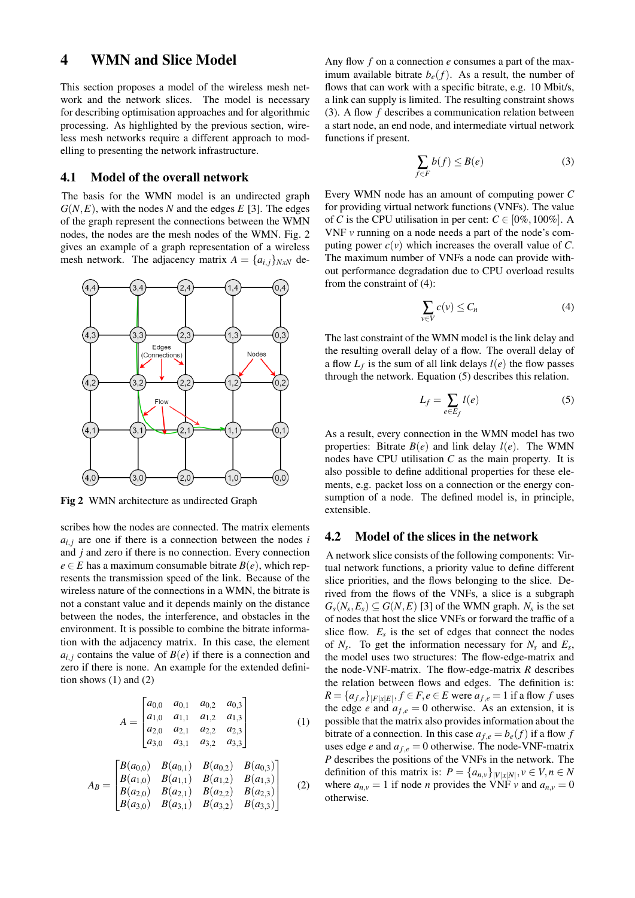### 4 WMN and Slice Model

This section proposes a model of the wireless mesh network and the network slices. The model is necessary for describing optimisation approaches and for algorithmic processing. As highlighted by the previous section, wireless mesh networks require a different approach to modelling to presenting the network infrastructure.

#### 4.1 Model of the overall network

The basis for the WMN model is an undirected graph  $G(N, E)$ , with the nodes *N* and the edges *E* [3]. The edges of the graph represent the connections between the WMN nodes, the nodes are the mesh nodes of the WMN. Fig. 2 gives an example of a graph representation of a wireless mesh network. The adjacency matrix  $A = \{a_{i,j}\}_{N \times N}$  de-



Fig 2 WMN architecture as undirected Graph

scribes how the nodes are connected. The matrix elements  $a_{i,j}$  are one if there is a connection between the nodes *i* and *j* and zero if there is no connection. Every connection  $e \in E$  has a maximum consumable bitrate  $B(e)$ , which represents the transmission speed of the link. Because of the wireless nature of the connections in a WMN, the bitrate is not a constant value and it depends mainly on the distance between the nodes, the interference, and obstacles in the environment. It is possible to combine the bitrate information with the adjacency matrix. In this case, the element  $a_{i,j}$  contains the value of  $B(e)$  if there is a connection and zero if there is none. An example for the extended definition shows (1) and (2)

$$
A = \begin{bmatrix} a_{0,0} & a_{0,1} & a_{0,2} & a_{0,3} \\ a_{1,0} & a_{1,1} & a_{1,2} & a_{1,3} \\ a_{2,0} & a_{2,1} & a_{2,2} & a_{2,3} \\ a_{3,0} & a_{3,1} & a_{3,2} & a_{3,3} \end{bmatrix}
$$
 (1)

$$
A_B = \begin{bmatrix} B(a_{0,0}) & B(a_{0,1}) & B(a_{0,2}) & B(a_{0,3}) \\ B(a_{1,0}) & B(a_{1,1}) & B(a_{1,2}) & B(a_{1,3}) \\ B(a_{2,0}) & B(a_{2,1}) & B(a_{2,2}) & B(a_{2,3}) \\ B(a_{3,0}) & B(a_{3,1}) & B(a_{3,2}) & B(a_{3,3}) \end{bmatrix}
$$
 (2)

Any flow *f* on a connection *e* consumes a part of the maximum available bitrate  $b_e(f)$ . As a result, the number of flows that can work with a specific bitrate, e.g. 10 Mbit/s, a link can supply is limited. The resulting constraint shows (3). A flow *f* describes a communication relation between a start node, an end node, and intermediate virtual network functions if present.

$$
\sum_{f \in F} b(f) \le B(e) \tag{3}
$$

Every WMN node has an amount of computing power *C* for providing virtual network functions (VNFs). The value of *C* is the CPU utilisation in per cent:  $C \in [0\%, 100\%]$ . A VNF *v* running on a node needs a part of the node's computing power  $c(v)$  which increases the overall value of *C*. The maximum number of VNFs a node can provide without performance degradation due to CPU overload results from the constraint of (4):

$$
\sum_{v \in V} c(v) \le C_n \tag{4}
$$

The last constraint of the WMN model is the link delay and the resulting overall delay of a flow. The overall delay of a flow  $L_f$  is the sum of all link delays  $l(e)$  the flow passes through the network. Equation (5) describes this relation.

$$
L_f = \sum_{e \in E_f} l(e) \tag{5}
$$

As a result, every connection in the WMN model has two properties: Bitrate  $B(e)$  and link delay  $l(e)$ . The WMN nodes have CPU utilisation *C* as the main property. It is also possible to define additional properties for these elements, e.g. packet loss on a connection or the energy consumption of a node. The defined model is, in principle, extensible.

#### 4.2 Model of the slices in the network

A network slice consists of the following components: Virtual network functions, a priority value to define different slice priorities, and the flows belonging to the slice. Derived from the flows of the VNFs, a slice is a subgraph  $G_s(N_s, E_s) \subseteq G(N, E)$  [3] of the WMN graph.  $N_s$  is the set of nodes that host the slice VNFs or forward the traffic of a slice flow.  $E_s$  is the set of edges that connect the nodes of  $N_s$ . To get the information necessary for  $N_s$  and  $E_s$ , the model uses two structures: The flow-edge-matrix and the node-VNF-matrix. The flow-edge-matrix *R* describes the relation between flows and edges. The definition is:  $R = \{a_{f,e}\}_{|F|x|E|}, f \in F, e \in E$  were  $a_{f,e} = 1$  if a flow *f* uses the edge *e* and  $a_{f,e} = 0$  otherwise. As an extension, it is possible that the matrix also provides information about the bitrate of a connection. In this case  $a_{f,e} = b_e(f)$  if a flow f uses edge *e* and  $a_{f,e} = 0$  otherwise. The node-VNF-matrix *P* describes the positions of the VNFs in the network. The definition of this matrix is:  $P = \{a_{n,v}\}_{|V|x| \le N}, v \in V, n \in N$ where  $a_{n,v} = 1$  if node *n* provides the VNF *v* and  $a_{n,v} = 0$ otherwise.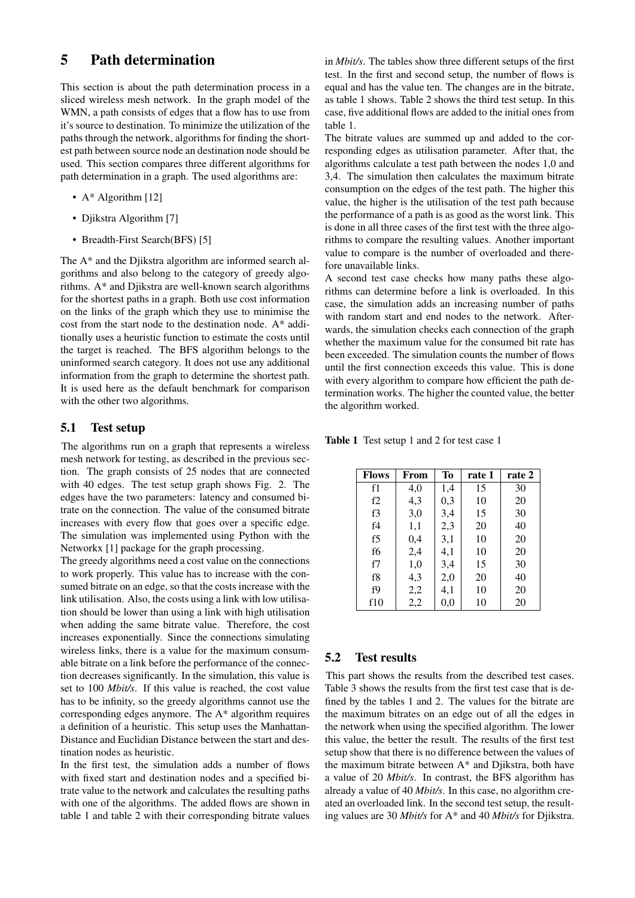# 5 Path determination

This section is about the path determination process in a sliced wireless mesh network. In the graph model of the WMN, a path consists of edges that a flow has to use from it's source to destination. To minimize the utilization of the paths through the network, algorithms for finding the shortest path between source node an destination node should be used. This section compares three different algorithms for path determination in a graph. The used algorithms are:

- A\* Algorithm [12]
- Djikstra Algorithm [7]
- Breadth-First Search(BFS) [5]

The A\* and the Djikstra algorithm are informed search algorithms and also belong to the category of greedy algorithms. A\* and Djikstra are well-known search algorithms for the shortest paths in a graph. Both use cost information on the links of the graph which they use to minimise the cost from the start node to the destination node. A\* additionally uses a heuristic function to estimate the costs until the target is reached. The BFS algorithm belongs to the uninformed search category. It does not use any additional information from the graph to determine the shortest path. It is used here as the default benchmark for comparison with the other two algorithms.

#### 5.1 Test setup

The algorithms run on a graph that represents a wireless mesh network for testing, as described in the previous section. The graph consists of 25 nodes that are connected with 40 edges. The test setup graph shows Fig. 2. The edges have the two parameters: latency and consumed bitrate on the connection. The value of the consumed bitrate increases with every flow that goes over a specific edge. The simulation was implemented using Python with the Networkx [1] package for the graph processing.

The greedy algorithms need a cost value on the connections to work properly. This value has to increase with the consumed bitrate on an edge, so that the costs increase with the link utilisation. Also, the costs using a link with low utilisation should be lower than using a link with high utilisation when adding the same bitrate value. Therefore, the cost increases exponentially. Since the connections simulating wireless links, there is a value for the maximum consumable bitrate on a link before the performance of the connection decreases significantly. In the simulation, this value is set to 100 *Mbit/s*. If this value is reached, the cost value has to be infinity, so the greedy algorithms cannot use the corresponding edges anymore. The A\* algorithm requires a definition of a heuristic. This setup uses the Manhattan-Distance and Euclidian Distance between the start and destination nodes as heuristic.

In the first test, the simulation adds a number of flows with fixed start and destination nodes and a specified bitrate value to the network and calculates the resulting paths with one of the algorithms. The added flows are shown in table 1 and table 2 with their corresponding bitrate values in *Mbit/s*. The tables show three different setups of the first test. In the first and second setup, the number of flows is equal and has the value ten. The changes are in the bitrate, as table 1 shows. Table 2 shows the third test setup. In this case, five additional flows are added to the initial ones from table 1.

The bitrate values are summed up and added to the corresponding edges as utilisation parameter. After that, the algorithms calculate a test path between the nodes 1,0 and 3,4. The simulation then calculates the maximum bitrate consumption on the edges of the test path. The higher this value, the higher is the utilisation of the test path because the performance of a path is as good as the worst link. This is done in all three cases of the first test with the three algorithms to compare the resulting values. Another important value to compare is the number of overloaded and therefore unavailable links.

A second test case checks how many paths these algorithms can determine before a link is overloaded. In this case, the simulation adds an increasing number of paths with random start and end nodes to the network. Afterwards, the simulation checks each connection of the graph whether the maximum value for the consumed bit rate has been exceeded. The simulation counts the number of flows until the first connection exceeds this value. This is done with every algorithm to compare how efficient the path determination works. The higher the counted value, the better the algorithm worked.

Table 1 Test setup 1 and 2 for test case 1

| <b>Flows</b> | From | To  | rate 1 | rate 2 |
|--------------|------|-----|--------|--------|
| f1           | 4,0  | 1,4 | 15     | 30     |
| f2           | 4,3  | 0,3 | 10     | 20     |
| f3           | 3,0  | 3,4 | 15     | 30     |
| f4           | 1,1  | 2,3 | 20     | 40     |
| f5           | 0,4  | 3,1 | 10     | 20     |
| f6           | 2,4  | 4,1 | 10     | 20     |
| f7           | 1,0  | 3,4 | 15     | 30     |
| f8           | 4,3  | 2,0 | 20     | 40     |
| f9           | 2,2  | 4,1 | 10     | 20     |
| f10          | 2,2  | 0,0 | 10     | 20     |

### 5.2 Test results

This part shows the results from the described test cases. Table 3 shows the results from the first test case that is defined by the tables 1 and 2. The values for the bitrate are the maximum bitrates on an edge out of all the edges in the network when using the specified algorithm. The lower this value, the better the result. The results of the first test setup show that there is no difference between the values of the maximum bitrate between A\* and Djikstra, both have a value of 20 *Mbit/s*. In contrast, the BFS algorithm has already a value of 40 *Mbit/s*. In this case, no algorithm created an overloaded link. In the second test setup, the resulting values are 30 *Mbit/s* for A\* and 40 *Mbit/s* for Djikstra.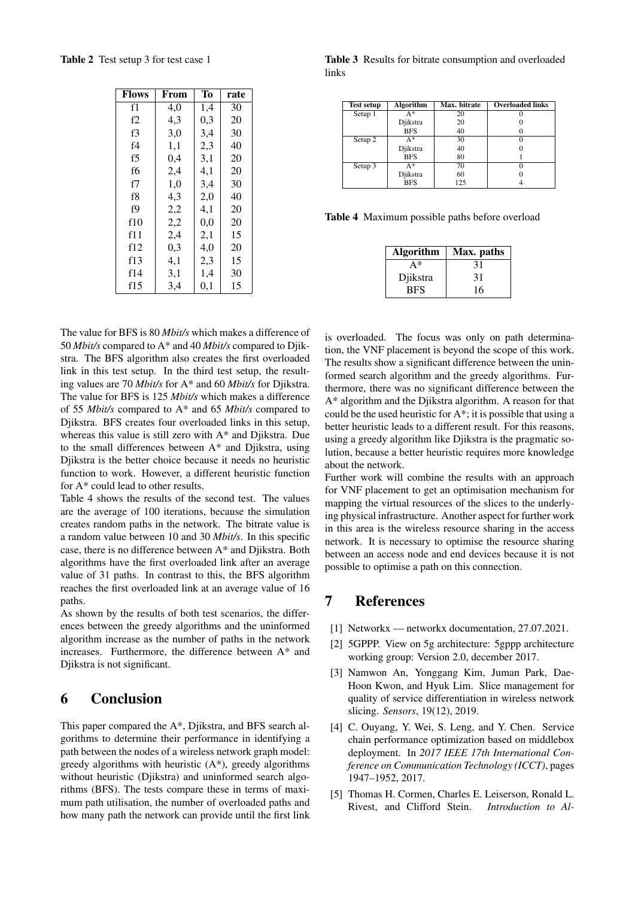Table 2 Test setup 3 for test case 1

| <b>Flows</b>   | From | Tо  | rate |
|----------------|------|-----|------|
| f1             | 4,0  | 1,4 | 30   |
| f2             | 4.3  | 0,3 | 20   |
| f3             | 3,0  | 3,4 | 30   |
| f <sub>4</sub> | 1,1  | 2,3 | 40   |
| f5             | 0,4  | 3,1 | 20   |
| f6             | 2,4  | 4,1 | 20   |
| f7             | 1,0  | 3,4 | 30   |
| f8             | 4,3  | 2,0 | 40   |
| f9             | 2,2  | 4,1 | 20   |
| f10            | 2,2  | 0.0 | 20   |
| f11            | 2,4  | 2,1 | 15   |
| f12            | 0,3  | 4,0 | 20   |
| f13            | 4,1  | 2,3 | 15   |
| f14            | 3,1  | 1,4 | 30   |
| f15            | 3.4  | 0,1 | 15   |

The value for BFS is 80 *Mbit/s* which makes a difference of 50 *Mbit/s* compared to A\* and 40 *Mbit/s* compared to Djikstra. The BFS algorithm also creates the first overloaded link in this test setup. In the third test setup, the resulting values are 70 *Mbit/s* for A\* and 60 *Mbit/s* for Djikstra. The value for BFS is 125 *Mbit/s* which makes a difference of 55 *Mbit/s* compared to A\* and 65 *Mbit/s* compared to Djikstra. BFS creates four overloaded links in this setup, whereas this value is still zero with A\* and Djikstra. Due to the small differences between A\* and Djikstra, using Djikstra is the better choice because it needs no heuristic function to work. However, a different heuristic function for A\* could lead to other results.

Table 4 shows the results of the second test. The values are the average of 100 iterations, because the simulation creates random paths in the network. The bitrate value is a random value between 10 and 30 *Mbit/s*. In this specific case, there is no difference between A\* and Djikstra. Both algorithms have the first overloaded link after an average value of 31 paths. In contrast to this, the BFS algorithm reaches the first overloaded link at an average value of 16 paths.

As shown by the results of both test scenarios, the differences between the greedy algorithms and the uninformed algorithm increase as the number of paths in the network increases. Furthermore, the difference between A\* and Djikstra is not significant.

## 6 Conclusion

This paper compared the A\*, Djikstra, and BFS search algorithms to determine their performance in identifying a path between the nodes of a wireless network graph model: greedy algorithms with heuristic  $(A^*)$ , greedy algorithms without heuristic (Djikstra) and uninformed search algorithms (BFS). The tests compare these in terms of maximum path utilisation, the number of overloaded paths and how many path the network can provide until the first link

Table 3 Results for bitrate consumption and overloaded links

| <b>Test setup</b> | <b>Algorithm</b> | Max. bitrate | <b>Overloaded links</b> |
|-------------------|------------------|--------------|-------------------------|
| Setup 1           | $A^*$            | 20           |                         |
|                   | Djikstra         | 20           |                         |
|                   | <b>BFS</b>       | 40           |                         |
| Setup 2           | $A^*$            | 30           |                         |
|                   | Djikstra         | 40           |                         |
|                   | <b>BFS</b>       | 80           |                         |
| Setup 3           | $A^*$            | 70           |                         |
|                   | Djikstra         | 60           |                         |
|                   | <b>BFS</b>       | 125          |                         |

Table 4 Maximum possible paths before overload

| <b>Algorithm</b> | Max. paths |
|------------------|------------|
| A*               | 31         |
| Djikstra         | 31         |
| BFS              | 16         |

is overloaded. The focus was only on path determination, the VNF placement is beyond the scope of this work. The results show a significant difference between the uninformed search algorithm and the greedy algorithms. Furthermore, there was no significant difference between the A\* algorithm and the Djikstra algorithm. A reason for that could be the used heuristic for A\*; it is possible that using a better heuristic leads to a different result. For this reasons, using a greedy algorithm like Djikstra is the pragmatic solution, because a better heuristic requires more knowledge about the network.

Further work will combine the results with an approach for VNF placement to get an optimisation mechanism for mapping the virtual resources of the slices to the underlying physical infrastructure. Another aspect for further work in this area is the wireless resource sharing in the access network. It is necessary to optimise the resource sharing between an access node and end devices because it is not possible to optimise a path on this connection.

# 7 References

- [1] Networkx networkx documentation, 27.07.2021.
- [2] 5GPPP. View on 5g architecture: 5gppp architecture working group: Version 2.0, december 2017.
- [3] Namwon An, Yonggang Kim, Juman Park, Dae-Hoon Kwon, and Hyuk Lim. Slice management for quality of service differentiation in wireless network slicing. *Sensors*, 19(12), 2019.
- [4] C. Ouyang, Y. Wei, S. Leng, and Y. Chen. Service chain performance optimization based on middlebox deployment. In *2017 IEEE 17th International Conference on Communication Technology (ICCT)*, pages 1947–1952, 2017.
- [5] Thomas H. Cormen, Charles E. Leiserson, Ronald L. Rivest, and Clifford Stein. *Introduction to Al-*